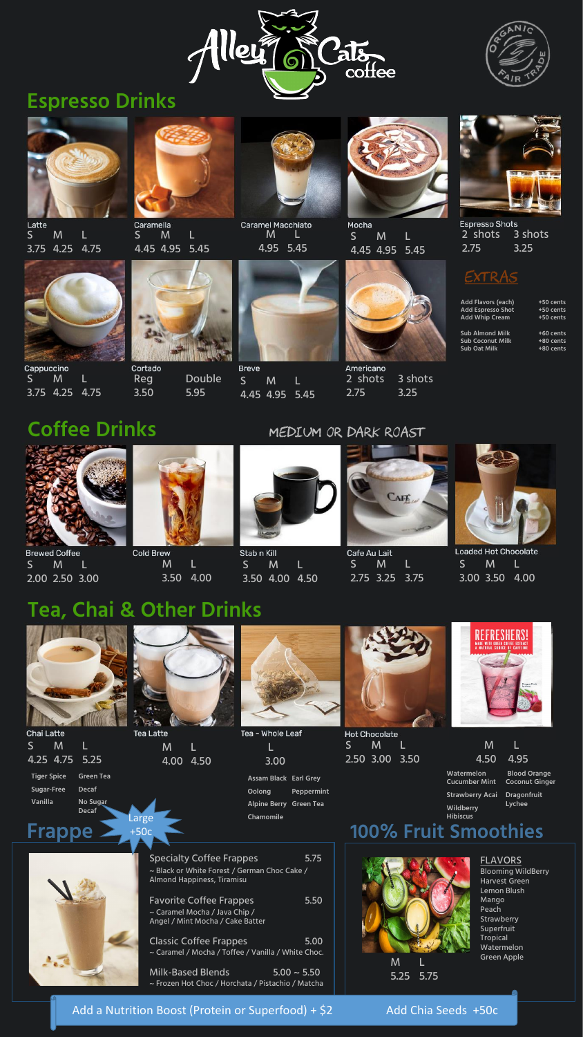



## **Espresso Drinks**



Latte S M L 3.75 4.25 4.75



Caramella S M L 4.45 4.95 5.45



Mocha S M 4.45 4.95 5.45



**Espresso Shots** 2 shots 3 shots 2.75 3.25

### **EXTRAS**

Cappuccino S M L 3.75 4.25 4.75



Americano 2 shots 3 shots 2.75 3.25

**Breve** S M L 4.45 4.95 5.45



**Caramel Macchiato** M L 4.95 5.45



Reg Double 3.50 5.95





Stab n Kill S M L 3.50 4.00 4.50

**Brewed Coffee** S M L 2.00 2.50 3.00



**Cold Brew** M L 3.50 4.00



Cafe Au Lait S M L 2.75 3.25 3.75



**Loaded Hot Chocolate** S M L 3.00 3.50 4.00

**Coffee Drinks**

**Hot Chocolate** S M L 2.50 3.00 3.50





### **Tea, Chai & Other Drinks**

S M L

4.25 4.75 5.25

| <b>1 - Whole Leaf</b> |  |
|-----------------------|--|
| Н                     |  |
| 3.00                  |  |

M L

4.00 4.50











Specialty Coffee Frappes 5.75 ~ Black or White Forest / German Choc Cake / Almond Happiness, Tiramisu

Tea

M L 4.50 4.95

**Frappe**

Favorite Coffee Frappes 5.50 ~ Caramel Mocha / Java Chip / Angel / Mint Mocha / Cake Batter

Classic Coffee Frappes 5.00 ~ Caramel / Mocha / Toffee / Vanilla / White Choc.

| Add Flavors (each)       | +50 cents |
|--------------------------|-----------|
| <b>Add Espresso Shot</b> | +50 cents |
| <b>Add Whip Cream</b>    | +50 cents |
|                          |           |
| <b>Sub Almond Milk</b>   | +60 cents |
| Sub Coconut Milk         | +80 cents |
| Sub Oat Milk             | +80 cents |
|                          |           |



Milk-Based Blends  $5.00 \sim 5.50$ ~ Frozen Hot Choc / Horchata / Pistachio / Matcha

**Tiger Spice Sugar-Free Vanilla**

**Chai Latte** 

**Green Tea**

**Decaf No Sugar Decaf**



**Assam Black Earl Grey Oolong Alpine Berry Green Tea Chamomile Peppermint**

> $M$ 5.25 5.75

### **100% Fruit Smoothies**



#### FLAVORS

Blooming WildBerry Harvest Green Lemon Blush Mango Peach **Strawberry Superfruit Tropical** Watermelon Green Apple

#### Add a Nutrition Boost (Protein or Superfood) + \$2 Add Chia Seeds +50c

**Watermelon Cucumber Mint** 

**Strawberry Acai Wildberry Hibiscus** 

**Blood Orange Coconut Ginger** 

**Dragonfruit Lychee**

Large +50c